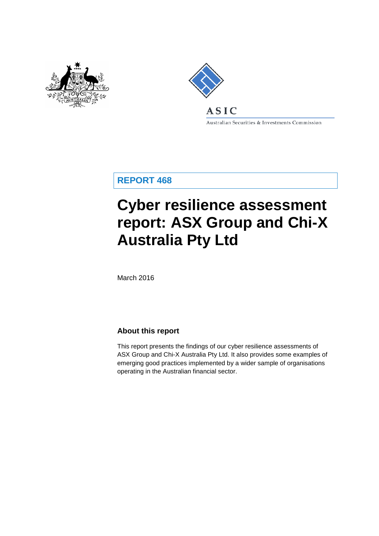



Australian Securities & Investments Commission

**REPORT 468**

# **Cyber resilience assessment report: ASX Group and Chi-X Australia Pty Ltd**

March 2016

## **About this report**

This report presents the findings of our cyber resilience assessments of ASX Group and Chi-X Australia Pty Ltd. It also provides some examples of emerging good practices implemented by a wider sample of organisations operating in the Australian financial sector.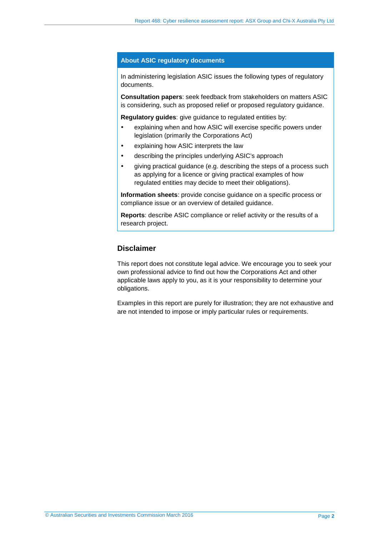#### **About ASIC regulatory documents**

In administering legislation ASIC issues the following types of regulatory documents.

**Consultation papers**: seek feedback from stakeholders on matters ASIC is considering, such as proposed relief or proposed regulatory guidance.

**Regulatory guides**: give guidance to regulated entities by:

- explaining when and how ASIC will exercise specific powers under legislation (primarily the Corporations Act)
- explaining how ASIC interprets the law
- describing the principles underlying ASIC's approach
- giving practical guidance (e.g. describing the steps of a process such as applying for a licence or giving practical examples of how regulated entities may decide to meet their obligations).

**Information sheets**: provide concise guidance on a specific process or compliance issue or an overview of detailed guidance.

**Reports**: describe ASIC compliance or relief activity or the results of a research project.

## **Disclaimer**

This report does not constitute legal advice. We encourage you to seek your own professional advice to find out how the Corporations Act and other applicable laws apply to you, as it is your responsibility to determine your obligations.

Examples in this report are purely for illustration; they are not exhaustive and are not intended to impose or imply particular rules or requirements.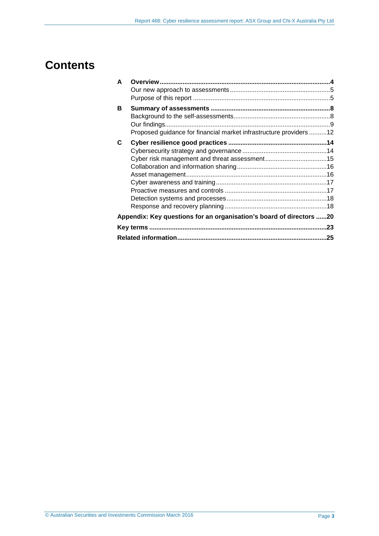# **Contents**

| A |                                                                     |     |
|---|---------------------------------------------------------------------|-----|
|   |                                                                     |     |
|   |                                                                     |     |
| в |                                                                     |     |
|   |                                                                     |     |
|   |                                                                     |     |
|   | Proposed guidance for financial market infrastructure providers 12  |     |
| C |                                                                     |     |
|   |                                                                     |     |
|   |                                                                     |     |
|   |                                                                     |     |
|   |                                                                     |     |
|   |                                                                     |     |
|   |                                                                     |     |
|   |                                                                     |     |
|   |                                                                     |     |
|   | Appendix: Key questions for an organisation's board of directors 20 |     |
|   |                                                                     |     |
|   |                                                                     | .25 |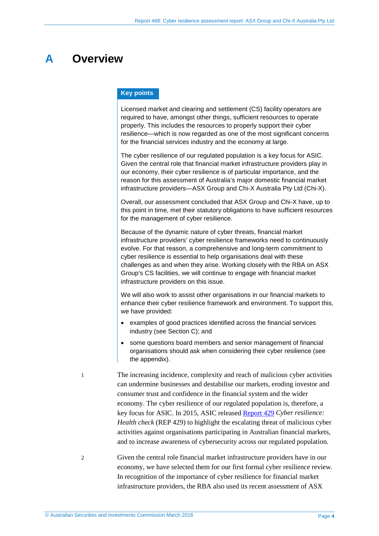## <span id="page-3-0"></span>**A Overview**

#### **Key points**

Licensed market and clearing and settlement (CS) facility operators are required to have, amongst other things, sufficient resources to operate properly. This includes the resources to properly support their cyber resilience—which is now regarded as one of the most significant concerns for the financial services industry and the economy at large.

The cyber resilience of our regulated population is a key focus for ASIC. Given the central role that financial market infrastructure providers play in our economy, their cyber resilience is of particular importance, and the reason for this assessment of Australia's major domestic financial market infrastructure providers—ASX Group and Chi-X Australia Pty Ltd (Chi-X).

Overall, our assessment concluded that ASX Group and Chi-X have, up to this point in time, met their statutory obligations to have sufficient resources for the management of cyber resilience.

Because of the dynamic nature of cyber threats, financial market infrastructure providers' cyber resilience frameworks need to continuously evolve. For that reason, a comprehensive and long-term commitment to cyber resilience is essential to help organisations deal with these challenges as and when they arise. Working closely with the RBA on ASX Group's CS facilities, we will continue to engage with financial market infrastructure providers on this issue.

We will also work to assist other organisations in our financial markets to enhance their cyber resilience framework and environment. To support this, we have provided:

- examples of good practices identified across the financial services industry (see Section [C\)](#page-13-0); and
- some questions board members and senior management of financial organisations should ask when considering their cyber resilience (see the appendix).
- The increasing incidence, complexity and reach of malicious cyber activities can undermine businesses and destabilise our markets, eroding investor and consumer trust and confidence in the financial system and the wider economy. The cyber resilience of our regulated population is, therefore, a key focus for ASIC. In 2015, ASIC release[d Report 429](http://asic.gov.au/regulatory-resources/find-a-document/reports/rep-429-cyber-resilience-health-check/) *Cyber resilience: Health check* (REP 429) to highlight the escalating threat of malicious cyber activities against organisations participating in Australian financial markets, and to increase awareness of cybersecurity across our regulated population.

2 Given the central role financial market infrastructure providers have in our economy, we have selected them for our first formal cyber resilience review. In recognition of the importance of cyber resilience for financial market infrastructure providers, the RBA also used its recent assessment of ASX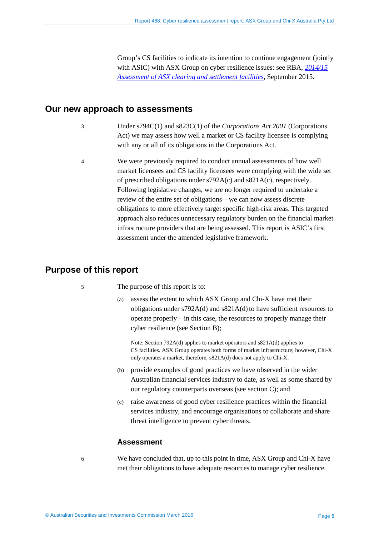Group's CS facilities to indicate its intention to continue engagement (jointly with ASIC) with ASX Group on cyber resilience issues: see RBA, *[2014/15](http://www.rba.gov.au/payments-and-infrastructure/financial-market-infrastructure/clearing-and-settlement-facilities/assessments/2014-2015/)  [Assessment of ASX clearing and settlement facilities,](http://www.rba.gov.au/payments-and-infrastructure/financial-market-infrastructure/clearing-and-settlement-facilities/assessments/2014-2015/)* September 2015.

## <span id="page-4-0"></span>**Our new approach to assessments**

- 3 Under s794C(1) and s823C(1) of the *Corporations Act 2001* (Corporations Act) we may assess how well a market or CS facility licensee is complying with any or all of its obligations in the Corporations Act.
- 4 We were previously required to conduct annual assessments of how well market licensees and CS facility licensees were complying with the wide set of prescribed obligations under s792A(c) and s821A(c), respectively. Following legislative changes, we are no longer required to undertake a review of the entire set of obligations—we can now assess discrete obligations to more effectively target specific high-risk areas. This targeted approach also reduces unnecessary regulatory burden on the financial market infrastructure providers that are being assessed. This report is ASIC's first assessment under the amended legislative framework.

## <span id="page-4-1"></span>**Purpose of this report**

- 5 The purpose of this report is to:
	- (a) assess the extent to which ASX Group and Chi-X have met their obligations under s792A(d) and s821A(d) to have sufficient resources to operate properly—in this case, the resources to properly manage their cyber resilience (see Section [B\)](#page-7-0);

Note: Section 792A(d) applies to market operators and s821A(d) applies to CS facilities. ASX Group operates both forms of market infrastructure; however, Chi-X only operates a market, therefore, s821A(d) does not apply to Chi-X.

- (b) provide examples of good practices we have observed in the wider Australian financial services industry to date, as well as some shared by our regulatory counterparts overseas (see section [C\)](#page-13-0); and
- (c) raise awareness of good cyber resilience practices within the financial services industry, and encourage organisations to collaborate and share threat intelligence to prevent cyber threats.

## **Assessment**

6 We have concluded that, up to this point in time, ASX Group and Chi-X have met their obligations to have adequate resources to manage cyber resilience.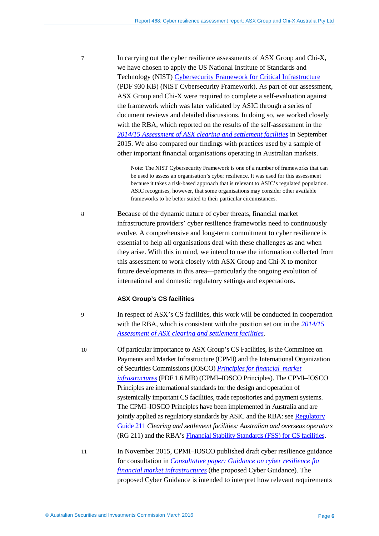7 In carrying out the cyber resilience assessments of ASX Group and Chi-X, we have chosen to apply the US National Institute of Standards and Technology (NIST) [Cybersecurity Framework for Critical Infrastructure](http://www.nist.gov/cyberframework/upload/cybersecurity-framework-021214.pdf) (PDF 930 KB) (NIST Cybersecurity Framework). As part of our assessment, ASX Group and Chi-X were required to complete a self-evaluation against the framework which was later validated by ASIC through a series of document reviews and detailed discussions. In doing so, we worked closely with the RBA, which reported on the results of the self-assessment in the *[2014/15 Assessment of ASX clearing and settlement facilities](http://www.rba.gov.au/payments-and-infrastructure/financial-market-infrastructure/clearing-and-settlement-facilities/assessments/2014-2015/)* in September 2015. We also compared our findings with practices used by a sample of other important financial organisations operating in Australian markets.

> Note: The NIST Cybersecurity Framework is one of a number of frameworks that can be used to assess an organisation's cyber resilience. It was used for this assessment because it takes a risk-based approach that is relevant to ASIC's regulated population. ASIC recognises, however, that some organisations may consider other available frameworks to be better suited to their particular circumstances.

8 Because of the dynamic nature of cyber threats, financial market infrastructure providers' cyber resilience frameworks need to continuously evolve. A comprehensive and long-term commitment to cyber resilience is essential to help all organisations deal with these challenges as and when they arise. With this in mind, we intend to use the information collected from this assessment to work closely with ASX Group and Chi-X to monitor future developments in this area—particularly the ongoing evolution of international and domestic regulatory settings and expectations.

#### **ASX Group's CS facilities**

9 In respect of ASX's CS facilities, this work will be conducted in cooperation with the RBA, which is consistent with the position set out in the *[2014/15](http://www.rba.gov.au/payments-and-infrastructure/financial-market-infrastructure/clearing-and-settlement-facilities/assessments/2014-2015/)  [Assessment of ASX clearing and settlement facilities](http://www.rba.gov.au/payments-and-infrastructure/financial-market-infrastructure/clearing-and-settlement-facilities/assessments/2014-2015/)*.

10 Of particular importance to ASX Group's CS Facilities, is the Committee on Payments and Market Infrastructure (CPMI) and the International Organization of Securities Commissions (IOSCO) *[Principles for financial](http://www.bis.org/cpmi/publ/d101a.pdf) market [infrastructures](http://www.bis.org/cpmi/publ/d101a.pdf)* (PDF 1.6 MB) (CPMI–IOSCO Principles). The CPMI–IOSCO Principles are international standards for the design and operation of systemically important CS facilities, trade repositories and payment systems. The CPMI–IOSCO Principles have been implemented in Australia and are jointly applied as regulatory standards by ASIC and the RBA: see Regulatory [Guide](http://asic.gov.au/regulatory-resources/find-a-document/regulatory-guides/rg-211-clearing-and-settlement-facilities-australian-and-overseas-operators/) 211 *Clearing and settlement facilities: Australian and overseas operators* (RG 211) and the RBA's [Financial Stability Standards \(FSS\)](http://www.rba.gov.au/payments-and-infrastructure/financial-market-infrastructure/clearing-and-settlement-facilities/standards/financial-stability-standards.html) for CS facilities.

11 In November 2015, CPMI–IOSCO published draft cyber resilience guidance for consultation in *[Consultative paper: Guidance on cyber resilience for](http://www.bis.org/cpmi/publ/d138.htm)  [financial market infrastructures](http://www.bis.org/cpmi/publ/d138.htm)* (the proposed Cyber Guidance). The proposed Cyber Guidance is intended to interpret how relevant requirements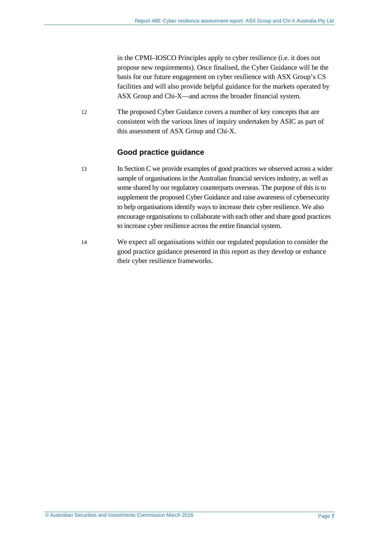in the CPMI–IOSCO Principles apply to cyber resilience (i.e. it does not propose new requirements). Once finalised, the Cyber Guidance will be the basis for our future engagement on cyber resilience with ASX Group's CS facilities and will also provide helpful guidance for the markets operated by ASX Group and Chi-X—and across the broader financial system.

12 The proposed Cyber Guidance covers a number of key concepts that are consistent with the various lines of inquiry undertaken by ASIC as part of this assessment of ASX Group and Chi-X.

## **Good practice guidance**

- 13 In Section [C](#page-13-0) we provide examples of good practices we observed across a wider sample of organisations in the Australian financial services industry, as well as some shared by our regulatory counterparts overseas. The purpose of this is to supplement the proposed Cyber Guidance and raise awareness of cybersecurity to help organisations identify ways to increase their cyber resilience. We also encourage organisations to collaborate with each other and share good practices to increase cyber resilience across the entire financial system.
- 14 We expect all organisations within our regulated population to consider the good practice guidance presented in this report as they develop or enhance their cyber resilience frameworks.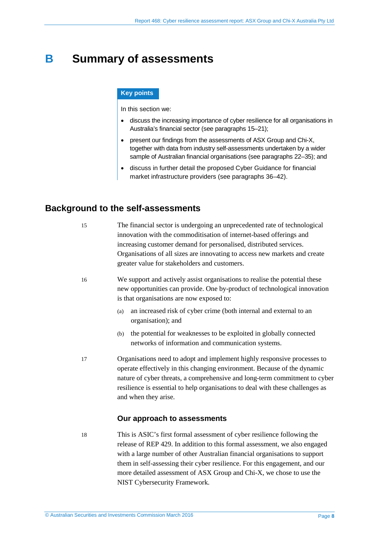## <span id="page-7-0"></span>**B Summary of assessments**

#### **Key points**

In this section we:

- discuss the increasing importance of cyber resilience for all organisations in Australia's financial sector (see paragraphs 15–21);
- present our findings from the assessments of ASX Group and Chi-X, together with data from industry self-assessments undertaken by a wider sample of Australian financial organisations (see paragraph[s 22](#page-8-1)[–35\)](#page-11-1); and
- discuss in further detail the proposed Cyber Guidance for financial market infrastructure providers (see paragraphs [36–](#page-11-2)[42\)](#page-12-0).

## <span id="page-7-1"></span>**Background to the self-assessments**

| 15 | The financial sector is undergoing an unprecedented rate of technological<br>innovation with the commoditisation of internet-based offerings and<br>increasing customer demand for personalised, distributed services.<br>Organisations of all sizes are innovating to access new markets and create<br>greater value for stakeholders and customers. |
|----|-------------------------------------------------------------------------------------------------------------------------------------------------------------------------------------------------------------------------------------------------------------------------------------------------------------------------------------------------------|
| 16 | We support and actively assist organisations to realise the potential these<br>new opportunities can provide. One by-product of technological innovation<br>is that organisations are now exposed to:                                                                                                                                                 |
|    | an increased risk of cyber crime (both internal and external to an<br>(a)<br>organisation); and                                                                                                                                                                                                                                                       |
|    | the potential for weaknesses to be exploited in globally connected<br>(b)<br>networks of information and communication systems.                                                                                                                                                                                                                       |
| 17 | Organisations need to adopt and implement highly responsive processes to<br>operate effectively in this changing environment. Because of the dynamic<br>nature of cyber threats, a comprehensive and long-term commitment to cyber<br>resilience is essential to help organisations to deal with these challenges as<br>and when they arise.          |
|    | Our approach to assessments                                                                                                                                                                                                                                                                                                                           |
| 18 | This is ASIC's first formal assessment of cyber resilience following the<br>release of REP 429. In addition to this formal assessment, we also engaged                                                                                                                                                                                                |

release of REP 429. In addition to this formal assessment, we also engaged with a large number of other Australian financial organisations to support them in self-assessing their cyber resilience. For this engagement, and our more detailed assessment of ASX Group and Chi-X, we chose to use the NIST Cybersecurity Framework.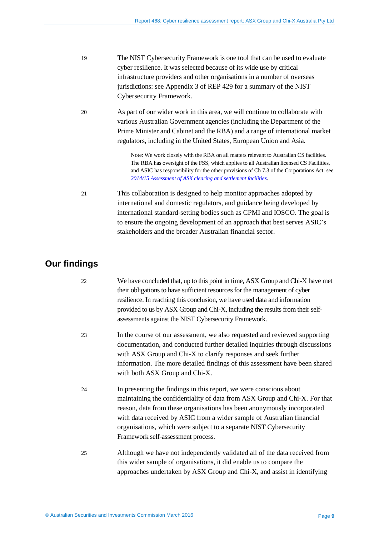| -19 | The NIST Cybersecurity Framework is one tool that can be used to evaluate |
|-----|---------------------------------------------------------------------------|
|     | cyber resilience. It was selected because of its wide use by critical     |
|     | infrastructure providers and other organisations in a number of overseas  |
|     | jurisdictions: see Appendix 3 of REP 429 for a summary of the NIST        |
|     | Cybersecurity Framework.                                                  |

20 As part of our wider work in this area, we will continue to collaborate with various Australian Government agencies (including the Department of the Prime Minister and Cabinet and the RBA) and a range of international market regulators, including in the United States, European Union and Asia.

> Note: We work closely with the RBA on all matters relevant to Australian CS facilities. The RBA has oversight of the FSS, which applies to all Australian licensed CS Facilities, and ASIC has responsibility for the other provisions of Ch 7.3 of the Corporations Act: see *[2014/15 Assessment of ASX clearing and settlement facilities](http://www.rba.gov.au/payments-and-infrastructure/financial-market-infrastructure/clearing-and-settlement-facilities/assessments/2014-2015/)*.

21 This collaboration is designed to help monitor approaches adopted by international and domestic regulators, and guidance being developed by international standard-setting bodies such as CPMI and IOSCO. The goal is to ensure the ongoing development of an approach that best serves ASIC's stakeholders and the broader Australian financial sector.

## <span id="page-8-1"></span><span id="page-8-0"></span>**Our findings**

| 22 | We have concluded that, up to this point in time, ASX Group and Chi-X have met |
|----|--------------------------------------------------------------------------------|
|    | their obligations to have sufficient resources for the management of cyber     |
|    | resilience. In reaching this conclusion, we have used data and information     |
|    | provided to us by ASX Group and Chi-X, including the results from their self-  |
|    | assessments against the NIST Cybersecurity Framework.                          |
| 23 | In the course of our assessment, we also requested and reviewed supporting     |
|    | documentation, and conducted further detailed inquiries through discussions    |
|    | with ASX Group and Chi-X to clarify responses and seek further                 |
|    | information. The more detailed findings of this assessment have been shared    |
|    | with both ASX Group and Chi-X.                                                 |
| 24 | In presenting the findings in this report, we were conscious about             |
|    | maintaining the confidentiality of data from ASX Group and Chi-X. For that     |
|    | reason, data from these organisations has been anonymously incorporated        |
|    | with data received by ASIC from a wider sample of Australian financial         |
|    | organisations, which were subject to a separate NIST Cybersecurity             |
|    | Framework self-assessment process.                                             |
|    |                                                                                |
| 25 | Although we have not independently validated all of the data received from     |
|    | this wider sample of organisations, it did enable us to compare the            |
|    | approaches undertaken by ASX Group and Chi-X, and assist in identifying        |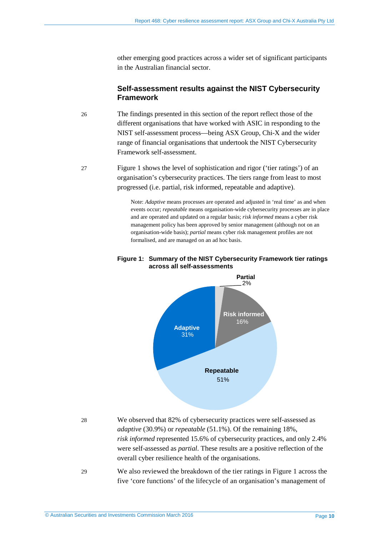other emerging good practices across a wider set of significant participants in the Australian financial sector.

## **Self-assessment results against the NIST Cybersecurity Framework**

- 26 The findings presented in this section of the report reflect those of the different organisations that have worked with ASIC in responding to the NIST self-assessment process—being ASX Group, Chi-X and the wider range of financial organisations that undertook the NIST Cybersecurity Framework self-assessment.
- 27 [Figure 1](#page-9-0) shows the level of sophistication and rigor ('tier ratings') of an organisation's cybersecurity practices. The tiers range from least to most progressed (i.e. partial, risk informed, repeatable and adaptive).

Note: *Adaptive* means processes are operated and adjusted in 'real time' as and when events occur; *repeatable* means organisation-wide cybersecurity processes are in place and are operated and updated on a regular basis; *risk informed* means a cyber risk management policy has been approved by senior management (although not on an organisation-wide basis); *partial* means cyber risk management profiles are not formalised, and are managed on an ad hoc basis.

#### <span id="page-9-0"></span>**Figure 1: Summary of the NIST Cybersecurity Framework tier ratings across all self-assessments**



28 We observed that 82% of cybersecurity practices were self-assessed as *adaptive* (30.9%) or *repeatable* (51.1%). Of the remaining 18%, *risk informed* represented 15.6% of cybersecurity practices, and only 2.4% were self-assessed as *partial*. These results are a positive reflection of the overall cyber resilience health of the organisations.

29 We also reviewed the breakdown of the tier ratings in Figure 1 across the five 'core functions' of the lifecycle of an organisation's management of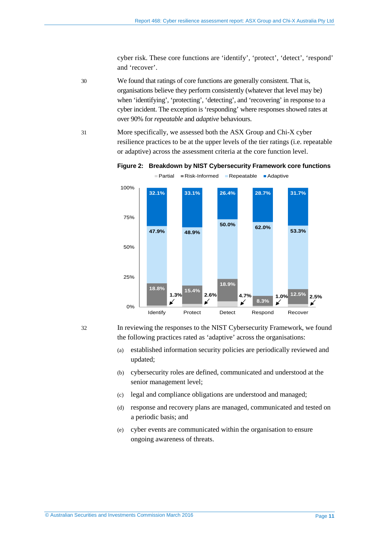cyber risk. These core functions are 'identify', 'protect', 'detect', 'respond' and 'recover'.

30 We found that ratings of core functions are generally consistent. That is, organisations believe they perform consistently (whatever that level may be) when 'identifying', 'protecting', 'detecting', and 'recovering' in response to a cyber incident. The exception is 'responding' where responses showed rates at over 90% for *repeatable* and *adaptive* behaviours.

31 More specifically, we assessed both the ASX Group and Chi-X cyber resilience practices to be at the upper levels of the tier ratings (i.e. repeatable or adaptive) across the assessment criteria at the core function level.

#### **Figure 2: Breakdown by NIST Cybersecurity Framework core functions** Partial Risk-Informed Repeatable Adaptive



32 In reviewing the responses to the NIST Cybersecurity Framework, we found the following practices rated as 'adaptive' across the organisations:

- (a) established information security policies are periodically reviewed and updated;
- (b) cybersecurity roles are defined, communicated and understood at the senior management level;
- (c) legal and compliance obligations are understood and managed;
- (d) response and recovery plans are managed, communicated and tested on a periodic basis; and
- (e) cyber events are communicated within the organisation to ensure ongoing awareness of threats.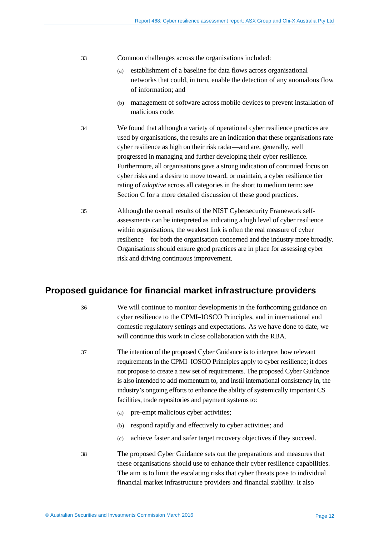| 33 | Common challenges across the organisations included: |  |  |  |
|----|------------------------------------------------------|--|--|--|
|----|------------------------------------------------------|--|--|--|

- (a) establishment of a baseline for data flows across organisational networks that could, in turn, enable the detection of any anomalous flow of information; and
- (b) management of software across mobile devices to prevent installation of malicious code.
- 34 We found that although a variety of operational cyber resilience practices are used by organisations, the results are an indication that these organisations rate cyber resilience as high on their risk radar—and are, generally, well progressed in managing and further developing their cyber resilience. Furthermore, all organisations gave a strong indication of continued focus on cyber risks and a desire to move toward, or maintain, a cyber resilience tier rating of *adaptive* across all categories in the short to medium term: see Section [C](#page-13-0) for a more detailed discussion of these good practices.
- <span id="page-11-1"></span>35 Although the overall results of the NIST Cybersecurity Framework selfassessments can be interpreted as indicating a high level of cyber resilience within organisations, the weakest link is often the real measure of cyber resilience—for both the organisation concerned and the industry more broadly. Organisations should ensure good practices are in place for assessing cyber risk and driving continuous improvement.

## <span id="page-11-2"></span><span id="page-11-0"></span>**Proposed guidance for financial market infrastructure providers**

36 We will continue to monitor developments in the forthcoming guidance on cyber resilience to the CPMI–IOSCO Principles, and in international and domestic regulatory settings and expectations. As we have done to date, we will continue this work in close collaboration with the RBA.

- 37 The intention of the proposed Cyber Guidance is to interpret how relevant requirements in the CPMI–IOSCO Principles apply to cyber resilience; it does not propose to create a new set of requirements. The proposed Cyber Guidance is also intended to add momentum to, and instil international consistency in, the industry's ongoing efforts to enhance the ability of systemically important CS facilities, trade repositories and payment systems to:
	- (a) pre-empt malicious cyber activities;
	- (b) respond rapidly and effectively to cyber activities; and
	- (c) achieve faster and safer target recovery objectives if they succeed.
- 38 The proposed Cyber Guidance sets out the preparations and measures that these organisations should use to enhance their cyber resilience capabilities. The aim is to limit the escalating risks that cyber threats pose to individual financial market infrastructure providers and financial stability. It also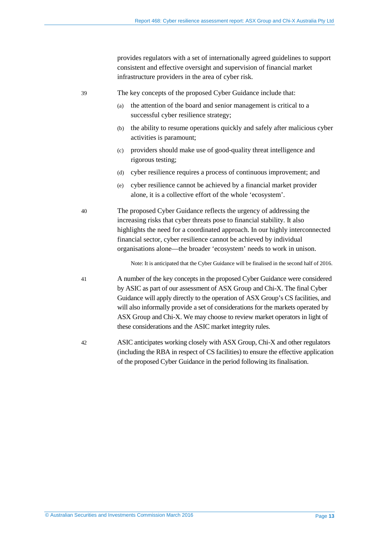provides regulators with a set of internationally agreed guidelines to support consistent and effective oversight and supervision of financial market infrastructure providers in the area of cyber risk.

39 The key concepts of the proposed Cyber Guidance include that:

- (a) the attention of the board and senior management is critical to a successful cyber resilience strategy;
- (b) the ability to resume operations quickly and safely after malicious cyber activities is paramount;
- (c) providers should make use of good-quality threat intelligence and rigorous testing;
- (d) cyber resilience requires a process of continuous improvement; and
- (e) cyber resilience cannot be achieved by a financial market provider alone, it is a collective effort of the whole 'ecosystem'.

40 The proposed Cyber Guidance reflects the urgency of addressing the increasing risks that cyber threats pose to financial stability. It also highlights the need for a coordinated approach. In our highly interconnected financial sector, cyber resilience cannot be achieved by individual organisations alone—the broader 'ecosystem' needs to work in unison.

Note: It is anticipated that the Cyber Guidance will be finalised in the second half of 2016.

41 A number of the key concepts in the proposed Cyber Guidance were considered by ASIC as part of our assessment of ASX Group and Chi-X. The final Cyber Guidance will apply directly to the operation of ASX Group's CS facilities, and will also informally provide a set of considerations for the markets operated by ASX Group and Chi-X. We may choose to review market operators in light of these considerations and the ASIC market integrity rules.

<span id="page-12-0"></span>42 ASIC anticipates working closely with ASX Group, Chi-X and other regulators (including the RBA in respect of CS facilities) to ensure the effective application of the proposed Cyber Guidance in the period following its finalisation.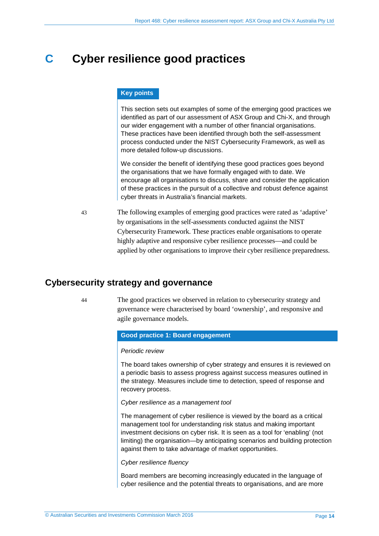## <span id="page-13-0"></span>**C Cyber resilience good practices**

#### **Key points**

This section sets out examples of some of the emerging good practices we identified as part of our assessment of ASX Group and Chi-X, and through our wider engagement with a number of other financial organisations. These practices have been identified through both the self-assessment process conducted under the NIST Cybersecurity Framework, as well as more detailed follow-up discussions.

We consider the benefit of identifying these good practices goes beyond the organisations that we have formally engaged with to date. We encourage all organisations to discuss, share and consider the application of these practices in the pursuit of a collective and robust defence against cyber threats in Australia's financial markets.

43 The following examples of emerging good practices were rated as 'adaptive' by organisations in the self-assessments conducted against the NIST Cybersecurity Framework. These practices enable organisations to operate highly adaptive and responsive cyber resilience processes—and could be applied by other organisations to improve their cyber resilience preparedness.

## <span id="page-13-1"></span>**Cybersecurity strategy and governance**

44 The good practices we observed in relation to cybersecurity strategy and governance were characterised by board 'ownership', and responsive and agile governance models.

#### **Good practice 1: Board engagement**

#### *Periodic review*

The board takes ownership of cyber strategy and ensures it is reviewed on a periodic basis to assess progress against success measures outlined in the strategy. Measures include time to detection, speed of response and recovery process.

#### *Cyber resilience as a management tool*

The management of cyber resilience is viewed by the board as a critical management tool for understanding risk status and making important investment decisions on cyber risk. It is seen as a tool for 'enabling' (not limiting) the organisation—by anticipating scenarios and building protection against them to take advantage of market opportunities.

*Cyber resilience fluency*

Board members are becoming increasingly educated in the language of cyber resilience and the potential threats to organisations, and are more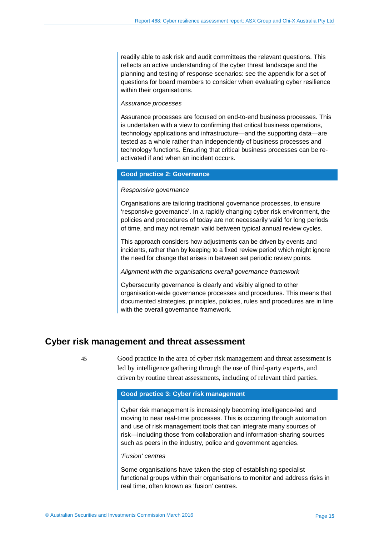readily able to ask risk and audit committees the relevant questions. This reflects an active understanding of the cyber threat landscape and the planning and testing of response scenarios: see the appendix for a set of questions for board members to consider when evaluating cyber resilience within their organisations.

#### *Assurance processes*

Assurance processes are focused on end-to-end business processes. This is undertaken with a view to confirming that critical business operations, technology applications and infrastructure—and the supporting data—are tested as a whole rather than independently of business processes and technology functions. Ensuring that critical business processes can be reactivated if and when an incident occurs.

#### **Good practice 2: Governance**

#### *Responsive governance*

Organisations are tailoring traditional governance processes, to ensure 'responsive governance'. In a rapidly changing cyber risk environment, the policies and procedures of today are not necessarily valid for long periods of time, and may not remain valid between typical annual review cycles.

This approach considers how adjustments can be driven by events and incidents, rather than by keeping to a fixed review period which might ignore the need for change that arises in between set periodic review points.

*Alignment with the organisations overall governance framework*

Cybersecurity governance is clearly and visibly aligned to other organisation-wide governance processes and procedures. This means that documented strategies, principles, policies, rules and procedures are in line with the overall governance framework.

## <span id="page-14-0"></span>**Cyber risk management and threat assessment**

45 Good practice in the area of cyber risk management and threat assessment is led by intelligence gathering through the use of third-party experts, and driven by routine threat assessments, including of relevant third parties.

#### **Good practice 3: Cyber risk management**

Cyber risk management is increasingly becoming intelligence-led and moving to near real-time processes. This is occurring through automation and use of risk management tools that can integrate many sources of risk—including those from collaboration and information-sharing sources such as peers in the industry, police and government agencies.

#### *'Fusion' centres*

Some organisations have taken the step of establishing specialist functional groups within their organisations to monitor and address risks in real time, often known as 'fusion' centres.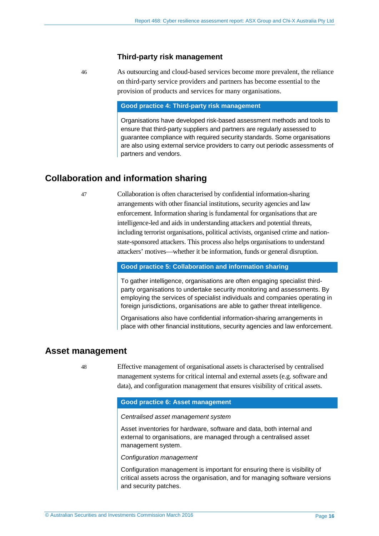#### **Third-party risk management**

46 As outsourcing and cloud-based services become more prevalent, the reliance on third-party service providers and partners has become essential to the provision of products and services for many organisations.

#### **Good practice 4: Third-party risk management**

Organisations have developed risk-based assessment methods and tools to ensure that third-party suppliers and partners are regularly assessed to guarantee compliance with required security standards. Some organisations are also using external service providers to carry out periodic assessments of partners and vendors.

## <span id="page-15-0"></span>**Collaboration and information sharing**

47 Collaboration is often characterised by confidential information-sharing arrangements with other financial institutions, security agencies and law enforcement. Information sharing is fundamental for organisations that are intelligence-led and aids in understanding attackers and potential threats, including terrorist organisations, political activists, organised crime and nationstate-sponsored attackers. This process also helps organisations to understand attackers' motives—whether it be information, funds or general disruption.

#### **Good practice 5: Collaboration and information sharing**

To gather intelligence, organisations are often engaging specialist thirdparty organisations to undertake security monitoring and assessments. By employing the services of specialist individuals and companies operating in foreign jurisdictions, organisations are able to gather threat intelligence.

Organisations also have confidential information-sharing arrangements in place with other financial institutions, security agencies and law enforcement.

## <span id="page-15-1"></span>**Asset management**

48 Effective management of organisational assets is characterised by centralised management systems for critical internal and external assets (e.g. software and data), and configuration management that ensures visibility of critical assets.

#### **Good practice 6: Asset management**

#### *Centralised asset management system*

Asset inventories for hardware, software and data, both internal and external to organisations, are managed through a centralised asset management system.

*Configuration management*

Configuration management is important for ensuring there is visibility of critical assets across the organisation, and for managing software versions and security patches.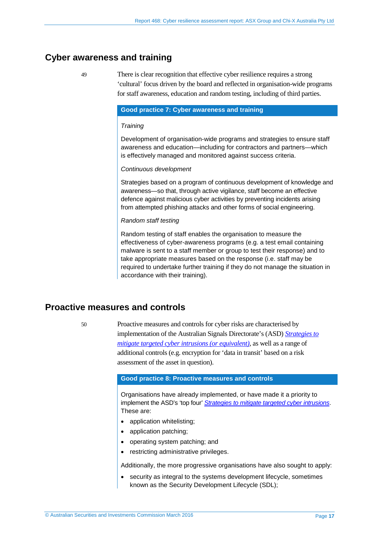## <span id="page-16-0"></span>**Cyber awareness and training**

49 There is clear recognition that effective cyber resilience requires a strong 'cultural' focus driven by the board and reflected in organisation-wide programs for staff awareness, education and random testing, including of third parties.

#### **Good practice 7: Cyber awareness and training**

#### *Training*

Development of organisation-wide programs and strategies to ensure staff awareness and education—including for contractors and partners—which is effectively managed and monitored against success criteria.

#### *Continuous development*

Strategies based on a program of continuous development of knowledge and awareness—so that, through active vigilance, staff become an effective defence against malicious cyber activities by preventing incidents arising from attempted phishing attacks and other forms of social engineering.

#### *Random staff testing*

Random testing of staff enables the organisation to measure the effectiveness of cyber-awareness programs (e.g. a test email containing malware is sent to a staff member or group to test their response) and to take appropriate measures based on the response (i.e. staff may be required to undertake further training if they do not manage the situation in accordance with their training).

## <span id="page-16-1"></span>**Proactive measures and controls**

50 Proactive measures and controls for cyber risks are characterised by implementation of the Australian Signals Directorate's (ASD) *[Strategies to](http://www.asd.gov.au/infosec/mitigationstrategies.htm)  [mitigate targeted cyber intrusions](http://www.asd.gov.au/infosec/mitigationstrategies.htm) (or equivalent)*, as well as a range of additional controls (e.g. encryption for 'data in transit' based on a risk assessment of the asset in question).

#### **Good practice 8: Proactive measures and controls**

Organisations have already implemented, or have made it a priority to implement the ASD's 'top four' *[Strategies to mitigate targeted](http://www.asd.gov.au/infosec/mitigationstrategies.htm) cyber intrusions*. These are:

- application whitelisting;
- application patching;
- operating system patching; and
- restricting administrative privileges.

Additionally, the more progressive organisations have also sought to apply:

• security as integral to the systems development lifecycle, sometimes known as the Security Development Lifecycle (SDL);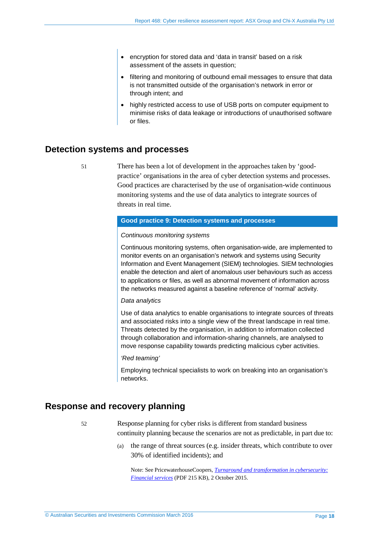- encryption for stored data and 'data in transit' based on a risk assessment of the assets in question;
- filtering and monitoring of outbound email messages to ensure that data is not transmitted outside of the organisation's network in error or through intent; and
- highly restricted access to use of USB ports on computer equipment to minimise risks of data leakage or introductions of unauthorised software or files.

## <span id="page-17-0"></span>**Detection systems and processes**

51 There has been a lot of development in the approaches taken by 'goodpractice' organisations in the area of cyber detection systems and processes. Good practices are characterised by the use of organisation-wide continuous monitoring systems and the use of data analytics to integrate sources of threats in real time.

#### **Good practice 9: Detection systems and processes**

#### *Continuous monitoring systems*

Continuous monitoring systems, often organisation-wide, are implemented to monitor events on an organisation's network and systems using Security Information and Event Management (SIEM) technologies. SIEM technologies enable the detection and alert of anomalous user behaviours such as access to applications or files, as well as abnormal movement of information across the networks measured against a baseline reference of 'normal' activity.

#### *Data analytics*

Use of data analytics to enable organisations to integrate sources of threats and associated risks into a single view of the threat landscape in real time. Threats detected by the organisation, in addition to information collected through collaboration and information-sharing channels, are analysed to move response capability towards predicting malicious cyber activities.

#### *'Red teaming'*

Employing technical specialists to work on breaking into an organisation's networks.

## <span id="page-17-1"></span>**Response and recovery planning**

52 Response planning for cyber risks is different from standard business continuity planning because the scenarios are not as predictable, in part due to:

> (a) the range of threat sources (e.g. insider threats, which contribute to over 30% of identified incidents); and

Note: See PricewaterhouseCoopers, *[Turnaround and transformation in cybersecurity:](https://www.pwc.com/gx/en/consulting-services/information-security-survey/assets/pwc-gsiss-2016-financial-services.pdf)  [Financial services](https://www.pwc.com/gx/en/consulting-services/information-security-survey/assets/pwc-gsiss-2016-financial-services.pdf)* (PDF 215 KB), 2 October 2015.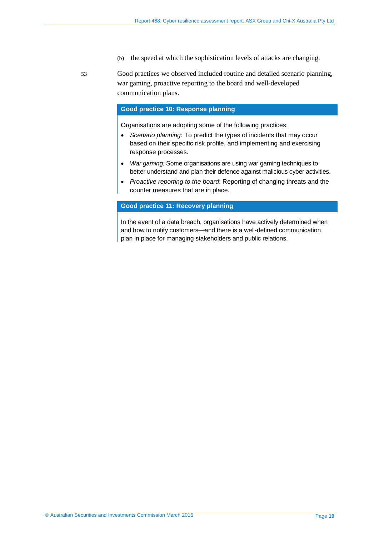- (b) the speed at which the sophistication levels of attacks are changing.
- 53 Good practices we observed included routine and detailed scenario planning, war gaming, proactive reporting to the board and well-developed communication plans.

#### **Good practice 10: Response planning**

Organisations are adopting some of the following practices:

- *Scenario planning*: To predict the types of incidents that may occur based on their specific risk profile, and implementing and exercising response processes.
- *War gaming:* Some organisations are using war gaming techniques to better understand and plan their defence against malicious cyber activities.
- *Proactive reporting to the board*: Reporting of changing threats and the counter measures that are in place.

#### **Good practice 11: Recovery planning**

In the event of a data breach, organisations have actively determined when and how to notify customers—and there is a well-defined communication plan in place for managing stakeholders and public relations.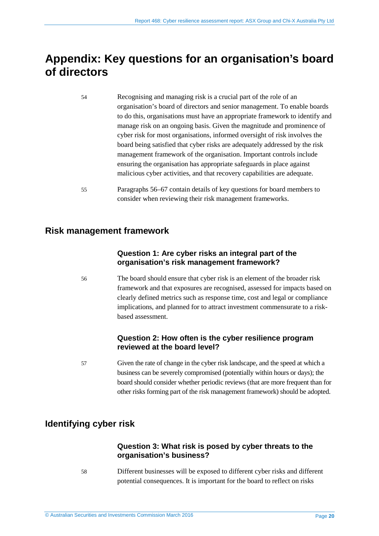## <span id="page-19-0"></span>**Appendix: Key questions for an organisation's board of directors**

- 54 Recognising and managing risk is a crucial part of the role of an organisation's board of directors and senior management. To enable boards to do this, organisations must have an appropriate framework to identify and manage risk on an ongoing basis. Given the magnitude and prominence of cyber risk for most organisations, informed oversight of risk involves the board being satisfied that cyber risks are adequately addressed by the risk management framework of the organisation. Important controls include ensuring the organisation has appropriate safeguards in place against malicious cyber activities, and that recovery capabilities are adequate.
- 55 Paragraphs [56](#page-19-1)[–67](#page-21-0) contain details of key questions for board members to consider when reviewing their risk management frameworks.

## **Risk management framework**

## **Question 1: Are cyber risks an integral part of the organisation's risk management framework?**

<span id="page-19-1"></span>56 The board should ensure that cyber risk is an element of the broader risk framework and that exposures are recognised, assessed for impacts based on clearly defined metrics such as response time, cost and legal or compliance implications, and planned for to attract investment commensurate to a riskbased assessment.

## **Question 2: How often is the cyber resilience program reviewed at the board level?**

57 Given the rate of change in the cyber risk landscape, and the speed at which a business can be severely compromised (potentially within hours or days); the board should consider whether periodic reviews (that are more frequent than for other risks forming part of the risk management framework) should be adopted.

## **Identifying cyber risk**

## **Question 3: What risk is posed by cyber threats to the organisation's business?**

58 Different businesses will be exposed to different cyber risks and different potential consequences. It is important for the board to reflect on risks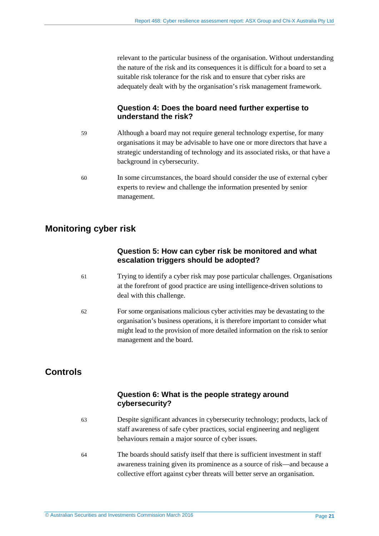relevant to the particular business of the organisation. Without understanding the nature of the risk and its consequences it is difficult for a board to set a suitable risk tolerance for the risk and to ensure that cyber risks are adequately dealt with by the organisation's risk management framework.

## **Question 4: Does the board need further expertise to understand the risk?**

- 59 Although a board may not require general technology expertise, for many organisations it may be advisable to have one or more directors that have a strategic understanding of technology and its associated risks, or that have a background in cybersecurity.
- 60 In some circumstances, the board should consider the use of external cyber experts to review and challenge the information presented by senior management.

## **Monitoring cyber risk**

## **Question 5: How can cyber risk be monitored and what escalation triggers should be adopted?**

- 61 Trying to identify a cyber risk may pose particular challenges. Organisations at the forefront of good practice are using intelligence-driven solutions to deal with this challenge.
- 62 For some organisations malicious cyber activities may be devastating to the organisation's business operations, it is therefore important to consider what might lead to the provision of more detailed information on the risk to senior management and the board.

## **Controls**

## **Question 6: What is the people strategy around cybersecurity?**

- 63 Despite significant advances in cybersecurity technology; products, lack of staff awareness of safe cyber practices, social engineering and negligent behaviours remain a major source of cyber issues.
- 64 The boards should satisfy itself that there is sufficient investment in staff awareness training given its prominence as a source of risk—and because a collective effort against cyber threats will better serve an organisation.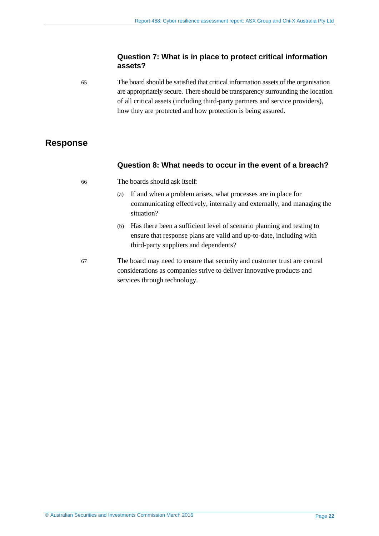### **Question 7: What is in place to protect critical information assets?**

65 The board should be satisfied that critical information assets of the organisation are appropriately secure. There should be transparency surrounding the location of all critical assets (including third-party partners and service providers), how they are protected and how protection is being assured.

## **Response**

### **Question 8: What needs to occur in the event of a breach?**

66 The boards should ask itself:

- (a) If and when a problem arises, what processes are in place for communicating effectively, internally and externally, and managing the situation?
- (b) Has there been a sufficient level of scenario planning and testing to ensure that response plans are valid and up-to-date, including with third-party suppliers and dependents?
- <span id="page-21-0"></span>67 The board may need to ensure that security and customer trust are central considerations as companies strive to deliver innovative products and services through technology.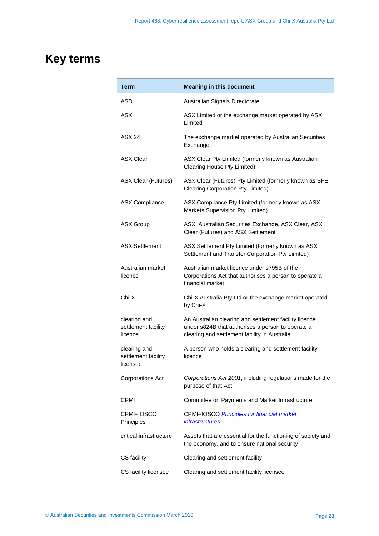# <span id="page-22-0"></span>**Key terms**

| Term                                            | <b>Meaning in this document</b>                                                                                                                              |
|-------------------------------------------------|--------------------------------------------------------------------------------------------------------------------------------------------------------------|
| ASD                                             | Australian Signals Directorate                                                                                                                               |
| <b>ASX</b>                                      | ASX Limited or the exchange market operated by ASX<br>Limited                                                                                                |
| ASX 24                                          | The exchange market operated by Australian Securities<br>Exchange                                                                                            |
| <b>ASX Clear</b>                                | ASX Clear Pty Limited (formerly known as Australian<br>Clearing House Pty Limited)                                                                           |
| <b>ASX Clear (Futures)</b>                      | ASX Clear (Futures) Pty Limited (formerly known as SFE<br><b>Clearing Corporation Pty Limited)</b>                                                           |
| <b>ASX Compliance</b>                           | ASX Compliance Pty Limited (formerly known as ASX<br>Markets Supervision Pty Limited)                                                                        |
| <b>ASX Group</b>                                | ASX, Australian Securities Exchange, ASX Clear, ASX<br>Clear (Futures) and ASX Settlement                                                                    |
| <b>ASX Settlement</b>                           | ASX Settlement Pty Limited (formerly known as ASX<br>Settlement and Transfer Corporation Pty Limited)                                                        |
| Australian market<br>licence                    | Australian market licence under s795B of the<br>Corporations Act that authorises a person to operate a<br>financial market                                   |
| Chi-X                                           | Chi-X Australia Pty Ltd or the exchange market operated<br>by Chi-X                                                                                          |
| clearing and<br>settlement facility<br>licence  | An Australian clearing and settlement facility licence<br>under s824B that authorises a person to operate a<br>clearing and settlement facility in Australia |
| clearing and<br>settlement facility<br>licensee | A person who holds a clearing and settlement facility<br>licence                                                                                             |
| <b>Corporations Act</b>                         | Corporations Act 2001, including regulations made for the<br>purpose of that Act                                                                             |
| CPMI                                            | Committee on Payments and Market Infrastructure                                                                                                              |
| CPMI–IOSCO<br>Principles                        | CPMI-IOSCO Principles for financial market<br><i>infrastructures</i>                                                                                         |
| critical infrastructure                         | Assets that are essential for the functioning of society and<br>the economy, and to ensure national security                                                 |
| CS facility                                     | Clearing and settlement facility                                                                                                                             |
| CS facility licensee                            | Clearing and settlement facility licensee                                                                                                                    |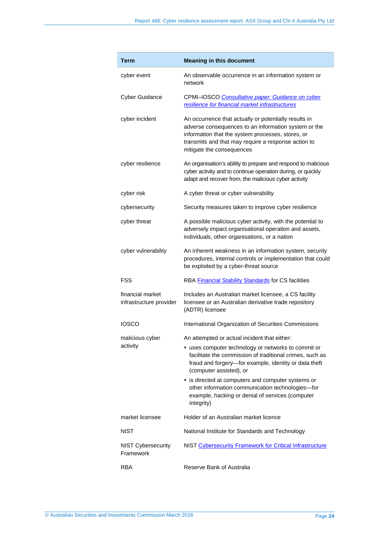| Term                                        | <b>Meaning in this document</b>                                                                                                                                                                                                                        |
|---------------------------------------------|--------------------------------------------------------------------------------------------------------------------------------------------------------------------------------------------------------------------------------------------------------|
| cyber event                                 | An observable occurrence in an information system or<br>network                                                                                                                                                                                        |
| <b>Cyber Guidance</b>                       | CPMI-IOSCO Consultative paper: Guidance on cyber<br>resilience for financial market infrastructures                                                                                                                                                    |
| cyber incident                              | An occurrence that actually or potentially results in<br>adverse consequences to an information system or the<br>information that the system processes, stores, or<br>transmits and that may require a response action to<br>mitigate the consequences |
| cyber resilience                            | An organisation's ability to prepare and respond to malicious<br>cyber activity and to continue operation during, or quickly<br>adapt and recover from, the malicious cyber activity                                                                   |
| cyber risk                                  | A cyber threat or cyber vulnerability                                                                                                                                                                                                                  |
| cybersecurity                               | Security measures taken to improve cyber resilience                                                                                                                                                                                                    |
| cyber threat                                | A possible malicious cyber activity, with the potential to<br>adversely impact organisational operation and assets,<br>individuals, other organisations, or a nation                                                                                   |
| cyber vulnerability                         | An inherent weakness in an information system, security<br>procedures, internal controls or implementation that could<br>be exploited by a cyber-threat source                                                                                         |
| <b>FSS</b>                                  | RBA Financial Stability Standards for CS facilities                                                                                                                                                                                                    |
| financial market<br>infrastructure provider | Includes an Australian market licensee, a CS facility<br>licensee or an Australian derivative trade repository<br>(ADTR) licensee                                                                                                                      |
| <b>IOSCO</b>                                | International Organization of Securities Commissions                                                                                                                                                                                                   |
| malicious cyber                             | An attempted or actual incident that either:                                                                                                                                                                                                           |
| activity                                    | • uses computer technology or networks to commit or<br>facilitate the commission of traditional crimes, such as<br>fraud and forgery-for example, identity or data theft<br>(computer assisted), or                                                    |
|                                             | • is directed at computers and computer systems or<br>other information communication technologies-for<br>example, hacking or denial of services (computer<br>integrity)                                                                               |
| market licensee                             | Holder of an Australian market licence                                                                                                                                                                                                                 |
| <b>NIST</b>                                 | National Institute for Standards and Technology                                                                                                                                                                                                        |
| <b>NIST Cybersecurity</b><br>Framework      | NIST Cybersecurity Framework for Critical Infrastructure                                                                                                                                                                                               |
| RBA                                         | Reserve Bank of Australia                                                                                                                                                                                                                              |